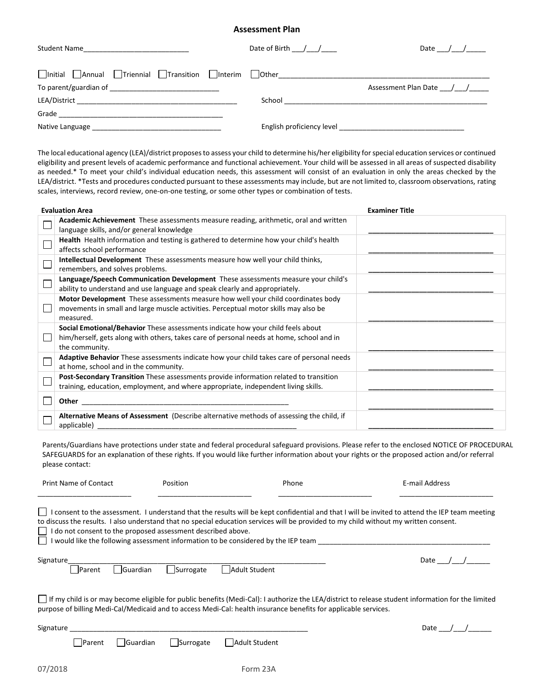## **Assessment Plan**

| Student Name | Date of Birth / / | Date / /                 |
|--------------|-------------------|--------------------------|
|              |                   |                          |
|              |                   | Assessment Plan Date / / |
|              |                   |                          |
|              |                   |                          |
|              |                   |                          |

The local educational agency (LEA)/district proposes to assess your child to determine his/her eligibility for special education services or continued eligibility and present levels of academic performance and functional achievement. Your child will be assessed in all areas of suspected disability as needed.\* To meet your child's individual education needs, this assessment will consist of an evaluation in only the areas checked by the LEA/district. \*Tests and procedures conducted pursuant to these assessments may include, but are not limited to, classroom observations, rating scales, interviews, record review, one-on-one testing, or some other types or combination of tests.

| <b>Evaluation Area</b>                                                                                                                                                                        | <b>Examiner Title</b> |
|-----------------------------------------------------------------------------------------------------------------------------------------------------------------------------------------------|-----------------------|
| Academic Achievement These assessments measure reading, arithmetic, oral and written<br>language skills, and/or general knowledge                                                             |                       |
| Health Health information and testing is gathered to determine how your child's health<br>affects school performance                                                                          |                       |
| Intellectual Development These assessments measure how well your child thinks,<br>remembers, and solves problems.                                                                             |                       |
| Language/Speech Communication Development These assessments measure your child's<br>ability to understand and use language and speak clearly and appropriately.                               |                       |
| Motor Development These assessments measure how well your child coordinates body<br>movements in small and large muscle activities. Perceptual motor skills may also be<br>measured.          |                       |
| Social Emotional/Behavior These assessments indicate how your child feels about<br>him/herself, gets along with others, takes care of personal needs at home, school and in<br>the community. |                       |
| Adaptive Behavior These assessments indicate how your child takes care of personal needs<br>at home, school and in the community.                                                             |                       |
| Post-Secondary Transition These assessments provide information related to transition<br>training, education, employment, and where appropriate, independent living skills.                   |                       |
| Other                                                                                                                                                                                         |                       |
| Alternative Means of Assessment (Describe alternative methods of assessing the child, if<br>applicable)                                                                                       |                       |

Parents/Guardians have protections under state and federal procedural safeguard provisions. Please refer to the enclosed NOTICE OF PROCEDURAL SAFEGUARDS for an explanation of these rights. If you would like further information about your rights or the proposed action and/or referral please contact:

| <b>Print Name of Contact</b>                                                                                                                                                                                                                                                                                                                                                                                                                  | Position                     | Phone          | E-mail Address |  |  |
|-----------------------------------------------------------------------------------------------------------------------------------------------------------------------------------------------------------------------------------------------------------------------------------------------------------------------------------------------------------------------------------------------------------------------------------------------|------------------------------|----------------|----------------|--|--|
| I consent to the assessment. I understand that the results will be kept confidential and that I will be invited to attend the IEP team meeting<br>to discuss the results. I also understand that no special education services will be provided to my child without my written consent.<br>I do not consent to the proposed assessment described above.<br>I would like the following assessment information to be considered by the IEP team |                              |                |                |  |  |
| Signature<br><b>IParent</b>                                                                                                                                                                                                                                                                                                                                                                                                                   | <b>Suardian</b><br>Surrogate | Adult Student  | Date /         |  |  |
| If my child is or may become eligible for public benefits (Medi-Cal): I authorize the LEA/district to release student information for the limited<br>purpose of billing Medi-Cal/Medicaid and to access Medi-Cal: health insurance benefits for applicable services.                                                                                                                                                                          |                              |                |                |  |  |
| Signature                                                                                                                                                                                                                                                                                                                                                                                                                                     |                              |                | Date /         |  |  |
| <b>IParent</b>                                                                                                                                                                                                                                                                                                                                                                                                                                | Guardian<br>Surrogate        | lAdult Student |                |  |  |